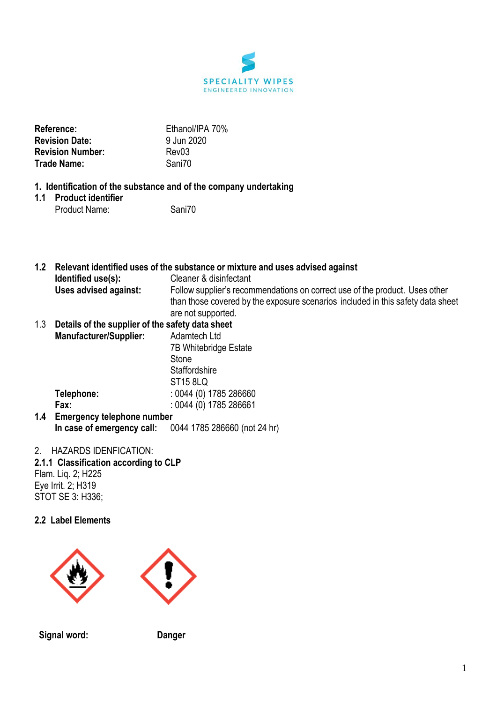

| <b>Reference:</b>       | Ethand  |
|-------------------------|---------|
| <b>Revision Date:</b>   | 9 Jun 2 |
| <b>Revision Number:</b> | Rev03   |
| Trade Name:             | Sani70  |

**Reference:** Ethanol/IPA 70% un 2020<br><sub>v</sub>03

## **1. Identification of the substance and of the company undertaking**

**1.1 Product identifier** Product Name: Sani70

**1.2 Relevant identified uses of the substance or mixture and uses advised against Identified use(s):** Cleaner & disinfectant **Uses advised against:** Follow supplier's recommendations on correct use of the product. Uses other than those covered by the exposure scenarios included in this safety data sheet are not supported.

#### 1.3 **Details of the supplier of the safety data sheet Manufacturer/Supplier:** Adamtech Ltd

7B Whitebridge Estate Stone **Staffordshire** ST15 8LQ **Telephone:** : 0044 (0) 1785 286660 **Fax:** : 0044 (0) 1785 286661

**1.4 Emergency telephone number In case of emergency call:** 0044 1785 286660 (not 24 hr)

## 2. HAZARDS IDENFICATION:

**2.1.1 Classification according to CLP** Flam. Liq. 2; H225 Eye Irrit. 2; H319 STOT SE 3: H336;

## **2.2 Label Elements**



**Signal word: Danger**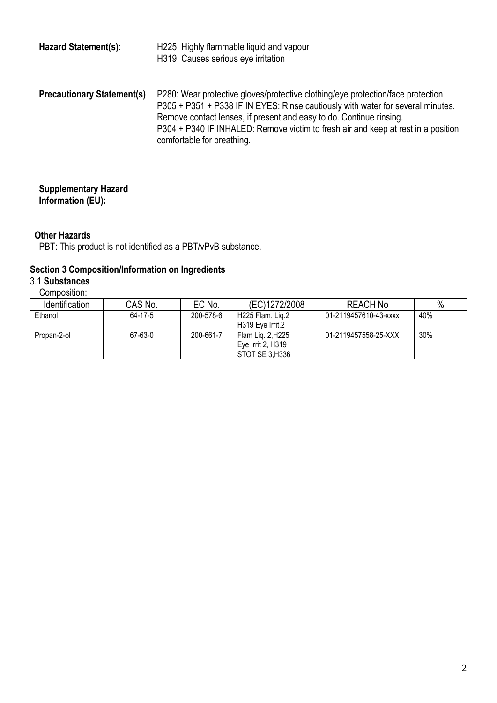| <b>Hazard Statement(s):</b>       | H225: Highly flammable liquid and vapour<br>H319: Causes serious eye irritation                                                                                                                                                                                                                                                                              |
|-----------------------------------|--------------------------------------------------------------------------------------------------------------------------------------------------------------------------------------------------------------------------------------------------------------------------------------------------------------------------------------------------------------|
| <b>Precautionary Statement(s)</b> | P280: Wear protective gloves/protective clothing/eye protection/face protection<br>P305 + P351 + P338 IF IN EYES: Rinse cautiously with water for several minutes.<br>Remove contact lenses, if present and easy to do. Continue rinsing.<br>P304 + P340 IF INHALED: Remove victim to fresh air and keep at rest in a position<br>comfortable for breathing. |

#### **Supplementary Hazard Information (EU):**

## **Other Hazards**

PBT: This product is not identified as a PBT/vPvB substance.

## **Section 3 Composition/Information on Ingredients**

# 3.1 **Substances**

| Composition: |
|--------------|
|              |

| <b>Identification</b> | CAS No. | EC No.    | (EC)1272/2008                 | <b>REACH No</b>       | $\%$ |
|-----------------------|---------|-----------|-------------------------------|-----------------------|------|
| Ethanol               | 64-17-5 | 200-578-6 | H <sub>225</sub> Flam, Lig. 2 | 01-2119457610-43-xxxx | 40%  |
|                       |         |           | H319 Eve Irrit.2              |                       |      |
| Propan-2-ol           | 67-63-0 | 200-661-7 | Flam Lig. 2, H225             | 01-2119457558-25-XXX  | 30%  |
|                       |         |           | Eve Irrit 2, H319             |                       |      |
|                       |         |           | STOT SE 3.H336                |                       |      |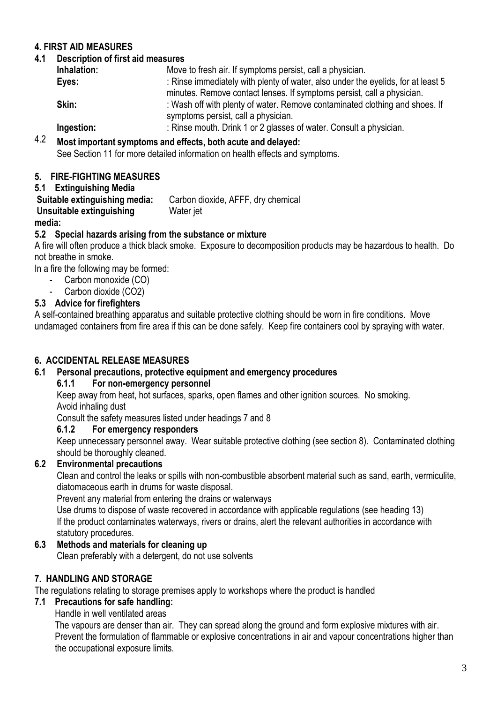## **4. FIRST AID MEASURES**

## **4.1 Description of first aid measures**

| Inhalation: | Move to fresh air. If symptoms persist, call a physician.                        |
|-------------|----------------------------------------------------------------------------------|
| Eyes:       | : Rinse immediately with plenty of water, also under the eyelids, for at least 5 |
|             | minutes. Remove contact lenses. If symptoms persist, call a physician.           |
| Skin:       | : Wash off with plenty of water. Remove contaminated clothing and shoes. If      |
|             | symptoms persist, call a physician.                                              |
| Ingestion:  | : Rinse mouth. Drink 1 or 2 glasses of water. Consult a physician.               |
|             |                                                                                  |

4.2 **Most important symptoms and effects, both acute and delayed:**

See Section 11 for more detailed information on health effects and symptoms.

## **5. FIRE-FIGHTING MEASURES**

#### **5.1 Extinguishing Media**

**Suitable extinguishing media:** Carbon dioxide, AFFF, dry chemical **Unsuitable extinguishing media:** Water jet

## **5.2 Special hazards arising from the substance or mixture**

A fire will often produce a thick black smoke. Exposure to decomposition products may be hazardous to health. Do not breathe in smoke.

In a fire the following may be formed:

- Carbon monoxide (CO)
- Carbon dioxide (CO2)

## **5.3 Advice for firefighters**

A self-contained breathing apparatus and suitable protective clothing should be worn in fire conditions. Move undamaged containers from fire area if this can be done safely. Keep fire containers cool by spraying with water.

## **6. ACCIDENTAL RELEASE MEASURES**

## **6.1 Personal precautions, protective equipment and emergency procedures**

## **6.1.1 For non-emergency personnel**

Keep away from heat, hot surfaces, sparks, open flames and other ignition sources. No smoking. Avoid inhaling dust

Consult the safety measures listed under headings 7 and 8

## **6.1.2 For emergency responders**

Keep unnecessary personnel away. Wear suitable protective clothing (see section 8). Contaminated clothing should be thoroughly cleaned.

## **6.2 Environmental precautions**

Clean and control the leaks or spills with non-combustible absorbent material such as sand, earth, vermiculite, diatomaceous earth in drums for waste disposal.

Prevent any material from entering the drains or waterways

Use drums to dispose of waste recovered in accordance with applicable regulations (see heading 13) If the product contaminates waterways, rivers or drains, alert the relevant authorities in accordance with statutory procedures.

## **6.3 Methods and materials for cleaning up**

Clean preferably with a detergent, do not use solvents

## **7. HANDLING AND STORAGE**

The regulations relating to storage premises apply to workshops where the product is handled

## **7.1 Precautions for safe handling:**

Handle in well ventilated areas

The vapours are denser than air. They can spread along the ground and form explosive mixtures with air. Prevent the formulation of flammable or explosive concentrations in air and vapour concentrations higher than the occupational exposure limits.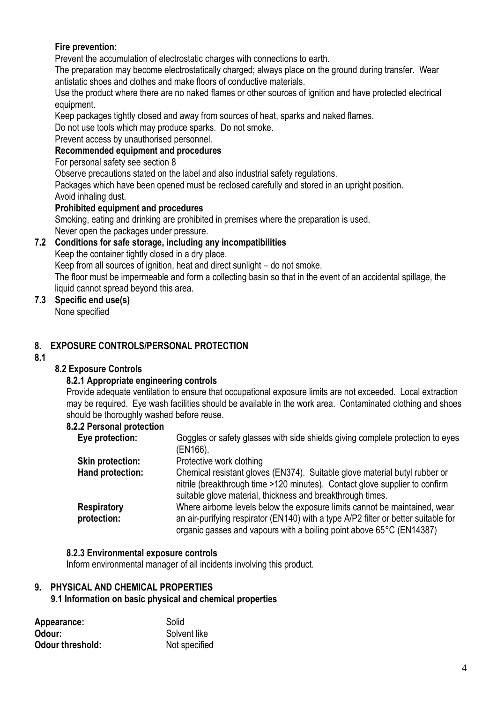## **Fire prevention:**

Prevent the accumulation of electrostatic charges with connections to earth.

The preparation may become electrostatically charged; always place on the ground during transfer. Wear antistatic shoes and clothes and make floors of conductive materials.

Use the product where there are no naked flames or other sources of ignition and have protected electrical equipment.

Keep packages tightly closed and away from sources of heat, sparks and naked flames.

Do not use tools which may produce sparks. Do not smoke.

Prevent access by unauthorised personnel.

## **Recommended equipment and procedures**

For personal safety see section 8

Observe precautions stated on the label and also industrial safety regulations.

Packages which have been opened must be reclosed carefully and stored in an upright position. Avoid inhaling dust.

## **Prohibited equipment and procedures**

Smoking, eating and drinking are prohibited in premises where the preparation is used.

Never open the packages under pressure.

## **7.2 Conditions for safe storage, including any incompatibilities**

Keep the container tightly closed in a dry place.

Keep from all sources of ignition, heat and direct sunlight – do not smoke.

The floor must be impermeable and form a collecting basin so that in the event of an accidental spillage, the liquid cannot spread beyond this area.

## **7.3 Specific end use(s)**

None specified

## **8. EXPOSURE CONTROLS/PERSONAL PROTECTION**

**8.1**

## **8.2 Exposure Controls**

## **8.2.1 Appropriate engineering controls**

Provide adequate ventilation to ensure that occupational exposure limits are not exceeded. Local extraction may be required. Eye wash facilities should be available in the work area. Contaminated clothing and shoes should be thoroughly washed before reuse.

## **8.2.2 Personal protection**

| Eye protection:                   | Goggles or safety glasses with side shields giving complete protection to eyes                                                                                                                                                           |
|-----------------------------------|------------------------------------------------------------------------------------------------------------------------------------------------------------------------------------------------------------------------------------------|
|                                   | (EN166).                                                                                                                                                                                                                                 |
| <b>Skin protection:</b>           | Protective work clothing                                                                                                                                                                                                                 |
| Hand protection:                  | Chemical resistant gloves (EN374). Suitable glove material butyl rubber or<br>nitrile (breakthrough time >120 minutes). Contact glove supplier to confirm<br>suitable glove material, thickness and breakthrough times.                  |
| <b>Respiratory</b><br>protection: | Where airborne levels below the exposure limits cannot be maintained, wear<br>an air-purifying respirator (EN140) with a type A/P2 filter or better suitable for<br>organic gasses and vapours with a boiling point above 65°C (EN14387) |

## **8.2.3 Environmental exposure controls**

Inform environmental manager of all incidents involving this product.

## **9. PHYSICAL AND CHEMICAL PROPERTIES**

## **9.1 Information on basic physical and chemical properties**

| Appearance:             | Solid         |
|-------------------------|---------------|
| Odour:                  | Solvent like  |
| <b>Odour threshold:</b> | Not specified |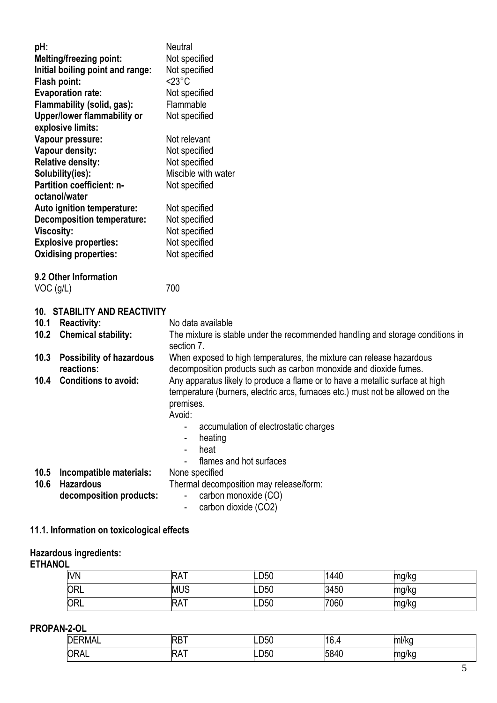| pH:               | <b>Melting/freezing point:</b><br>Initial boiling point and range:<br>Flash point:<br><b>Evaporation rate:</b><br>Flammability (solid, gas): | <b>Neutral</b><br>Not specified<br>Not specified<br>$<$ 23 $^{\circ}$ C<br>Not specified<br>Flammable |
|-------------------|----------------------------------------------------------------------------------------------------------------------------------------------|-------------------------------------------------------------------------------------------------------|
|                   | Upper/lower flammability or<br>explosive limits:                                                                                             | Not specified                                                                                         |
|                   | Vapour pressure:                                                                                                                             | Not relevant                                                                                          |
|                   | Vapour density:                                                                                                                              | Not specified                                                                                         |
|                   | <b>Relative density:</b><br>Solubility(ies):                                                                                                 | Not specified<br>Miscible with water                                                                  |
|                   | Partition coefficient: n-                                                                                                                    | Not specified                                                                                         |
|                   | octanol/water                                                                                                                                |                                                                                                       |
|                   | Auto ignition temperature:                                                                                                                   | Not specified                                                                                         |
|                   | <b>Decomposition temperature:</b>                                                                                                            | Not specified                                                                                         |
| <b>Viscosity:</b> |                                                                                                                                              | Not specified                                                                                         |
|                   | <b>Explosive properties:</b>                                                                                                                 | Not specified                                                                                         |
|                   | <b>Oxidising properties:</b>                                                                                                                 | Not specified                                                                                         |
|                   | 9.2 Other Information                                                                                                                        |                                                                                                       |
| $VOC$ (g/L)       |                                                                                                                                              | 700                                                                                                   |
|                   |                                                                                                                                              |                                                                                                       |
|                   | <b>10. STABILITY AND REACTIVITY</b>                                                                                                          |                                                                                                       |
| 10.1<br>10.2      | <b>Reactivity:</b><br><b>Chemical stability:</b>                                                                                             | No data available<br>The mixture is stable under the recommended handling and storage conditions in   |
|                   |                                                                                                                                              | section 7.                                                                                            |
| 10.3              | <b>Possibility of hazardous</b>                                                                                                              | When exposed to high temperatures, the mixture can release hazardous                                  |
|                   | reactions:                                                                                                                                   | decomposition products such as carbon monoxide and dioxide fumes.                                     |
| 10.4              | <b>Conditions to avoid:</b>                                                                                                                  | Any apparatus likely to produce a flame or to have a metallic surface at high                         |
|                   |                                                                                                                                              | temperature (burners, electric arcs, furnaces etc.) must not be allowed on the                        |
|                   |                                                                                                                                              | premises.<br>Avoid:                                                                                   |
|                   |                                                                                                                                              | accumulation of electrostatic charges                                                                 |
|                   |                                                                                                                                              | heating<br>$\qquad \qquad \blacksquare$                                                               |
|                   |                                                                                                                                              | heat                                                                                                  |
|                   |                                                                                                                                              | flames and hot surfaces                                                                               |
| 10.5              | Incompatible materials:                                                                                                                      | None specified                                                                                        |
| 10.6              | <b>Hazardous</b>                                                                                                                             | Thermal decomposition may release/form:                                                               |
|                   | decomposition products:                                                                                                                      | carbon monoxide (CO)                                                                                  |
|                   |                                                                                                                                              | carbon dioxide (CO2)                                                                                  |

**11.1. Information on toxicological effects**

#### **Hazardous ingredients:**

#### **ETHANOL**

| <b>IVN</b> | RA.        | ∟D50 | 1440 | mg/kg |
|------------|------------|------|------|-------|
| <b>ORL</b> | <b>MUS</b> | LD50 | 3450 | mg/kg |
| ORL        | RA.        | LD50 | 7060 | mg/kg |

## **PROPAN-2-OL**

| ---<br><b>DLL</b><br>KIVIAL<br>IJΕ |             | −∟∪∪                                  | '16.∙ | $\sim$<br>TII/KC<br>$\sim$                |
|------------------------------------|-------------|---------------------------------------|-------|-------------------------------------------|
| <b>ORAL</b>                        | <b>V</b> VI | $\overline{\phantom{0}}$<br>١μ<br>-00 |       | <b>STATISTICS</b><br>. IYINU I<br>ັບ<br>◡ |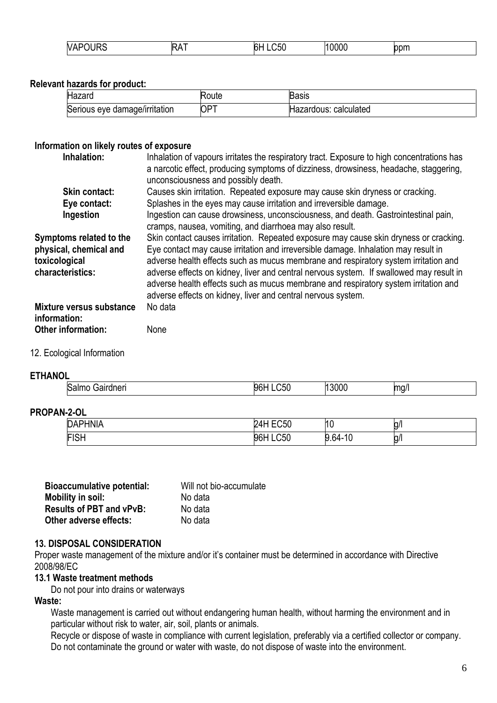| VAI<br>$\sim$ $\sim$<br>M<br>__ | - -<br>اC،<br>חר<br>. | $\sim$ $\sim$ $\sim$ | <b>SALES MAR</b> |  |
|---------------------------------|-----------------------|----------------------|------------------|--|
|---------------------------------|-----------------------|----------------------|------------------|--|

## **Relevant hazards for product:**

| Hazaro                        | oute:      | Basıs                 |
|-------------------------------|------------|-----------------------|
| Serious eye damage/irritation | $OP^{\pi}$ | Hazardous: calculated |

#### **Information on likely routes of exposure**

| Inhalation:                                                                            | Inhalation of vapours irritates the respiratory tract. Exposure to high concentrations has<br>a narcotic effect, producing symptoms of dizziness, drowsiness, headache, staggering,<br>unconsciousness and possibly death.                                                                                                                                                                                                                                                                                           |
|----------------------------------------------------------------------------------------|----------------------------------------------------------------------------------------------------------------------------------------------------------------------------------------------------------------------------------------------------------------------------------------------------------------------------------------------------------------------------------------------------------------------------------------------------------------------------------------------------------------------|
| <b>Skin contact:</b>                                                                   | Causes skin irritation. Repeated exposure may cause skin dryness or cracking.                                                                                                                                                                                                                                                                                                                                                                                                                                        |
| Eye contact:                                                                           | Splashes in the eyes may cause irritation and irreversible damage.                                                                                                                                                                                                                                                                                                                                                                                                                                                   |
| Ingestion                                                                              | Ingestion can cause drowsiness, unconsciousness, and death. Gastrointestinal pain,<br>cramps, nausea, vomiting, and diarrhoea may also result.                                                                                                                                                                                                                                                                                                                                                                       |
| Symptoms related to the<br>physical, chemical and<br>toxicological<br>characteristics: | Skin contact causes irritation. Repeated exposure may cause skin dryness or cracking.<br>Eye contact may cause irritation and irreversible damage. Inhalation may result in<br>adverse health effects such as mucus membrane and respiratory system irritation and<br>adverse effects on kidney, liver and central nervous system. If swallowed may result in<br>adverse health effects such as mucus membrane and respiratory system irritation and<br>adverse effects on kidney, liver and central nervous system. |
| <b>Mixture versus substance</b><br>information:                                        | No data                                                                                                                                                                                                                                                                                                                                                                                                                                                                                                              |
| Other information:                                                                     | None                                                                                                                                                                                                                                                                                                                                                                                                                                                                                                                 |

## 12. Ecological Information

#### **ETHANOL**

| Salmo<br>aırdnerı<br><b>Jair</b> | $- -$<br>ዐፍ<br>יפר | 3000 | mq/ |
|----------------------------------|--------------------|------|-----|
| ____                             |                    |      |     |

#### **PROPAN-2-OL**

| DAPHNIA     | $F^{\sim}$<br>.∪5∪ .<br>,, | 10             | <br>g/ |
|-------------|----------------------------|----------------|--------|
| <b>FISH</b> | C50<br>96I                 | 10<br>$-9.64-$ | g/     |

| Will not bio-accumulate |  |  |
|-------------------------|--|--|
| No data                 |  |  |
| No data                 |  |  |
| No data                 |  |  |
|                         |  |  |

#### **13. DISPOSAL CONSIDERATION**

Proper waste management of the mixture and/or it's container must be determined in accordance with Directive 2008/98/EC

#### **13.1 Waste treatment methods**

Do not pour into drains or waterways

## **Waste:**

Waste management is carried out without endangering human health, without harming the environment and in particular without risk to water, air, soil, plants or animals.

Recycle or dispose of waste in compliance with current legislation, preferably via a certified collector or company. Do not contaminate the ground or water with waste, do not dispose of waste into the environment.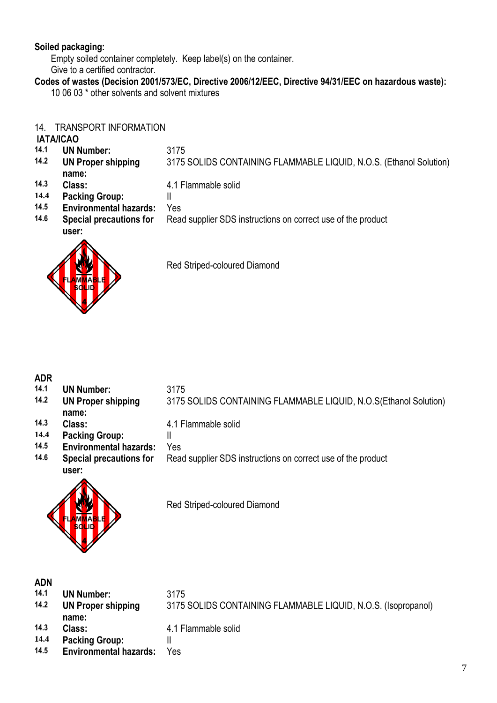## **Soiled packaging:**

Empty soiled container completely. Keep label(s) on the container. Give to a certified contractor.

**Codes of wastes (Decision 2001/573/EC, Directive 2006/12/EEC, Directive 94/31/EEC on hazardous waste):**

10 06 03 \* other solvents and solvent mixtures

## 14. TRANSPORT INFORMATION

## **IATA/ICAO**

- **14.1 UN Number:** 3175
- **14.2 UN Proper shipping**  3175 SOLIDS CONTAINING FLAMMABLE LIQUID, N.O.S. (Ethanol Solution)
- **name:**

## **14.3 Class:** 4.1 Flammable solid

- 
- **14.4 Packing Group:** ||<br>14.5 **Fovironmental hazards:** Yo **14.5 Environmental hazards:** Yes
- **14.6 Special precautions for**  Read supplier SDS instructions on correct use of the product



Red Striped-coloured Diamond

# **ADR**

- **14.1 UN Number:** 3175
- **14.2 UN Proper shipping**
- **name:**
- **14.3 Class:** 4.1 Flammable solid
- 
- **14.4 Packing Group:** ||<br>**14.5 Fnvironmental hazards:** Yo **14.5 Environmental hazards:** Yes
- **14.6 Special precautions for**



Red Striped-coloured Diamond

## **ADN**

- **14.1 UN Number:** 3175
- **14.2 UN Proper shipping**
- **name:**
- 
- 
- **14.4 Packing Group:** ||<br>**14.5 Fnvironmental hazards:** Ye **14.5 Environmental hazards:** Yes
- - 3175 SOLIDS CONTAINING FLAMMABLE LIQUID, N.O.S. (Isopropanol)

3175 SOLIDS CONTAINING FLAMMABLE LIQUID, N.O.S(Ethanol Solution)

Read supplier SDS instructions on correct use of the product

**14.3 Class:** 4.1 Flammable solid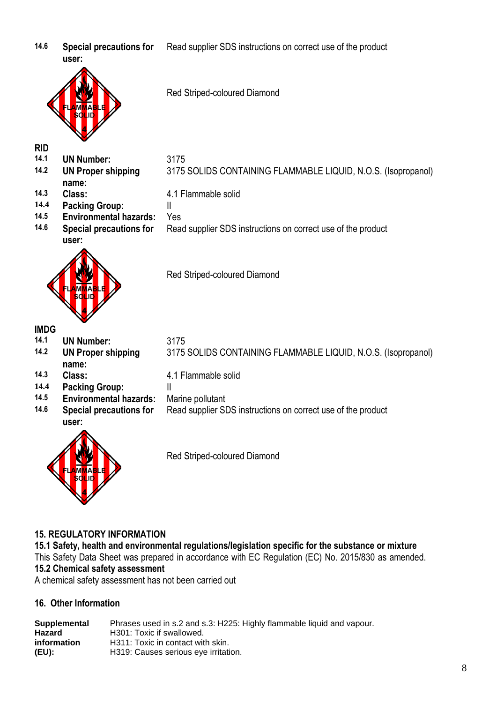**14.6 Special precautions for user:**

Red Striped-coloured Diamond

Read supplier SDS instructions on correct use of the product

**RID**

- **14.1 UN Number:** 3175
- **14.2 UN Proper shipping**
- **name:**
- **14.3 Class:** 4.1 Flammable solid
- **14.4 Packing Group:** II
- **14.5 Environmental hazards:** Yes
- **14.6 Special precautions for user:**



Red Striped-coloured Diamond

# **IMDG**

**14.1 UN Number:** 3175

- **14.2 UN Proper shipping name:**
- 
- 
- **14.4 Packing Group:** ||<br>**14.5 Fnvironmental hazards:** M
- **14.5 Environmental hazards:** Marine pollutant **14.6 Special precautions for**
- **user:**



3175 SOLIDS CONTAINING FLAMMABLE LIQUID, N.O.S. (Isopropanol)

3175 SOLIDS CONTAINING FLAMMABLE LIQUID, N.O.S. (Isopropanol)

Read supplier SDS instructions on correct use of the product

- **14.3 Class:** 4.1 Flammable solid
	- -
		- Read supplier SDS instructions on correct use of the product

Red Striped-coloured Diamond

## **15. REGULATORY INFORMATION**

**15.1 Safety, health and environmental regulations/legislation specific for the substance or mixture** This Safety Data Sheet was prepared in accordance with EC Regulation (EC) No. 2015/830 as amended. **15.2 Chemical safety assessment** A chemical safety assessment has not been carried out

## **16. Other Information**

**Supplemental Hazard information (EU):** Phrases used in s.2 and s.3: H225: Highly flammable liquid and vapour. H301: Toxic if swallowed. H311: Toxic in contact with skin. H319: Causes serious eye irritation.